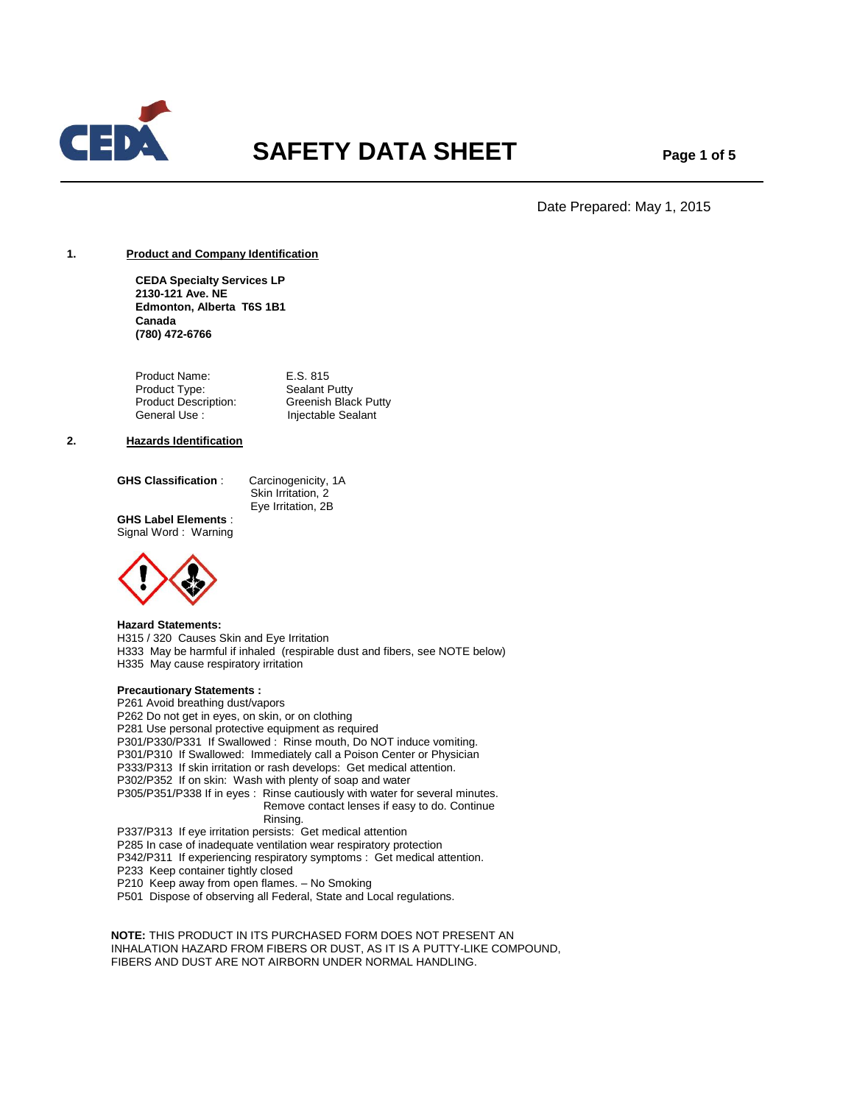

# **SAFETY DATA SHEET** Page 1 of 5

Date Prepared: May 1, 2015

## **1. Product and Company Identification**

**CEDA Specialty Services LP 2130-121 Ave. NE Edmonton, Alberta T6S 1B1 Canada (780) 472-6766**

Product Name:<br>
Product Type:<br>
Sealant Putty Product Type:<br>Product Description: **Greenish Black Putty** General Use : Injectable Sealant

#### **2. Hazards Identification**

**GHS Classification** : Carcinogenicity, 1A

Skin Irritation, 2 Eye Irritation, 2B

**GHS Label Elements** : Signal Word : Warning



#### **Hazard Statements:**

H315 / 320 Causes Skin and Eye Irritation H333 May be harmful if inhaled (respirable dust and fibers, see NOTE below) H335 May cause respiratory irritation

## **Precautionary Statements :**

P261 Avoid breathing dust/vapors P262 Do not get in eyes, on skin, or on clothing P281 Use personal protective equipment as required P301/P330/P331 If Swallowed : Rinse mouth, Do NOT induce vomiting. P301/P310 If Swallowed: Immediately call a Poison Center or Physician P333/P313 If skin irritation or rash develops: Get medical attention. P302/P352 If on skin: Wash with plenty of soap and water P305/P351/P338 If in eyes : Rinse cautiously with water for several minutes. Remove contact lenses if easy to do. Continue Rinsing. P337/P313 If eye irritation persists: Get medical attention

P285 In case of inadequate ventilation wear respiratory protection P342/P311 If experiencing respiratory symptoms : Get medical attention. P233 Keep container tightly closed

P210 Keep away from open flames. – No Smoking

P501 Dispose of observing all Federal, State and Local regulations.

 **NOTE:** THIS PRODUCT IN ITS PURCHASED FORM DOES NOT PRESENT AN INHALATION HAZARD FROM FIBERS OR DUST, AS IT IS A PUTTY-LIKE COMPOUND, FIBERS AND DUST ARE NOT AIRBORN UNDER NORMAL HANDLING.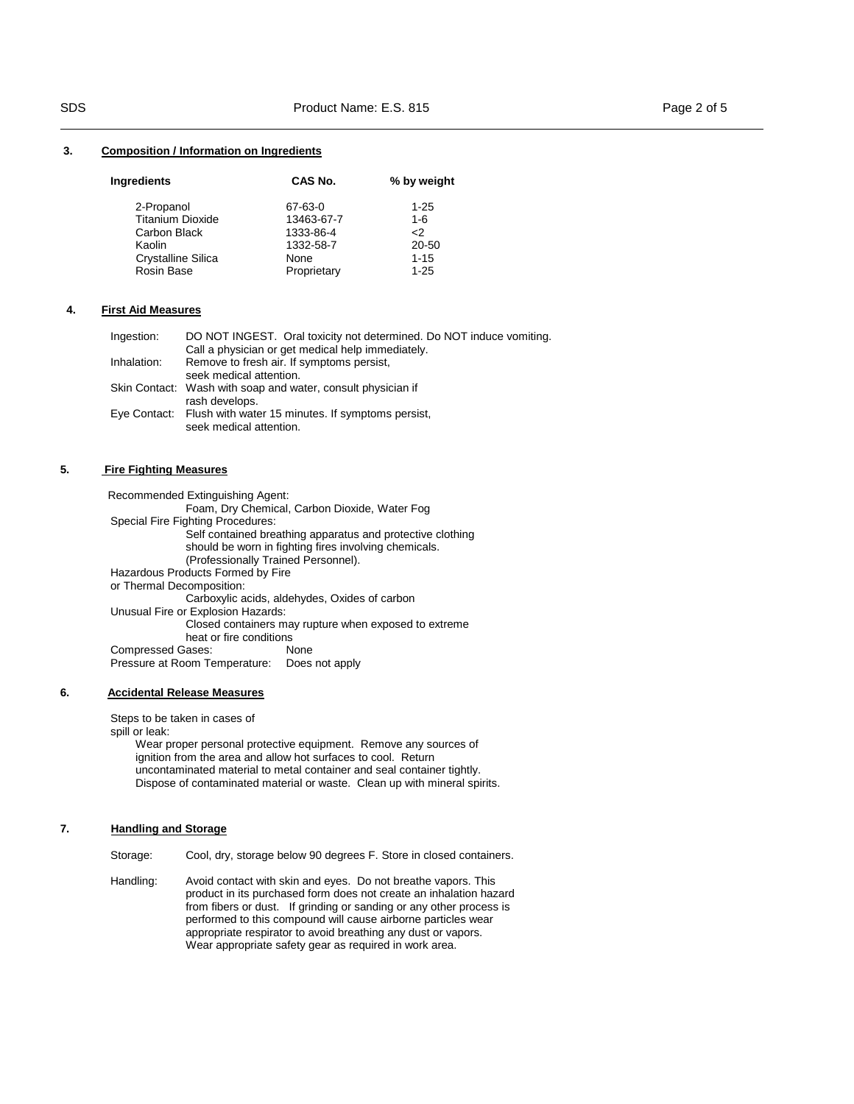#### **3. Composition / Information on Ingredients**

| <b>Ingredients</b>        | CAS No.     | % by weight |  |
|---------------------------|-------------|-------------|--|
| 2-Propanol                | 67-63-0     | $1 - 25$    |  |
| <b>Titanium Dioxide</b>   | 13463-67-7  | $1 - 6$     |  |
| Carbon Black              | 1333-86-4   | $\leq$      |  |
| Kaolin                    | 1332-58-7   | 20-50       |  |
| <b>Crystalline Silica</b> | None        | $1 - 15$    |  |
| Rosin Base                | Proprietary | $1 - 25$    |  |

#### **4. First Aid Measures**

| Ingestion:  | DO NOT INGEST. Oral toxicity not determined. Do NOT induce vomiting. |
|-------------|----------------------------------------------------------------------|
|             | Call a physician or get medical help immediately.                    |
| Inhalation: | Remove to fresh air. If symptoms persist,                            |
|             | seek medical attention.                                              |
|             | Skin Contact: Wash with soap and water, consult physician if         |
|             | rash develops.                                                       |
|             | Eye Contact: Flush with water 15 minutes. If symptoms persist,       |
|             | seek medical attention.                                              |

# **5. Fire Fighting Measures**

 Recommended Extinguishing Agent: Foam, Dry Chemical, Carbon Dioxide, Water Fog Special Fire Fighting Procedures: Self contained breathing apparatus and protective clothing should be worn in fighting fires involving chemicals. (Professionally Trained Personnel). Hazardous Products Formed by Fire or Thermal Decomposition: Carboxylic acids, aldehydes, Oxides of carbon Unusual Fire or Explosion Hazards: Closed containers may rupture when exposed to extreme heat or fire conditions Compressed Gases: None Pressure at Room Temperature: Does not apply

## **6. Accidental Release Measures**

Steps to be taken in cases of

spill or leak:

 Wear proper personal protective equipment. Remove any sources of ignition from the area and allow hot surfaces to cool. Return uncontaminated material to metal container and seal container tightly. Dispose of contaminated material or waste. Clean up with mineral spirits.

# **7. Handling and Storage**

Storage: Cool, dry, storage below 90 degrees F. Store in closed containers.

Handling: Avoid contact with skin and eyes. Do not breathe vapors. This product in its purchased form does not create an inhalation hazard from fibers or dust. If grinding or sanding or any other process is performed to this compound will cause airborne particles wear appropriate respirator to avoid breathing any dust or vapors. Wear appropriate safety gear as required in work area.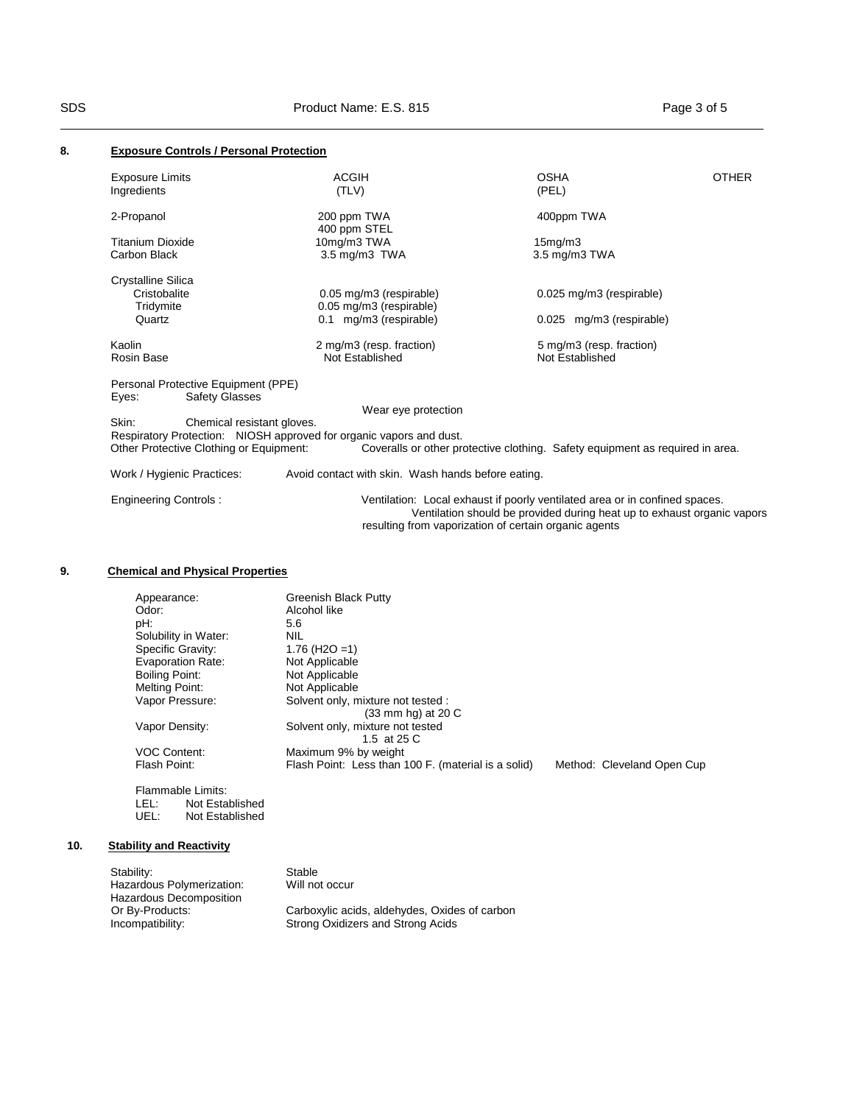# **8. Exposure Controls / Personal Protection**

| <b>Exposure Limits</b><br>Ingredients                                                                                                                 | <b>ACGIH</b><br>(TLV)                                 | <b>OSHA</b><br>(PEL)                                                                                                                                   | <b>OTHER</b> |
|-------------------------------------------------------------------------------------------------------------------------------------------------------|-------------------------------------------------------|--------------------------------------------------------------------------------------------------------------------------------------------------------|--------------|
| 2-Propanol                                                                                                                                            | 200 ppm TWA<br>400 ppm STEL                           | 400ppm TWA                                                                                                                                             |              |
| <b>Titanium Dioxide</b>                                                                                                                               | 10mg/m3 TWA                                           | 15mg/m3                                                                                                                                                |              |
| Carbon Black                                                                                                                                          | 3.5 mg/m3 TWA                                         | $3.5 \text{ mg/m}$ $3 \text{ TWA}$                                                                                                                     |              |
| Crystalline Silica                                                                                                                                    |                                                       |                                                                                                                                                        |              |
| Cristobalite<br>Tridymite                                                                                                                             | 0.05 mg/m3 (respirable)<br>0.05 mg/m3 (respirable)    | 0.025 mg/m3 (respirable)                                                                                                                               |              |
| Quartz                                                                                                                                                | 0.1 mg/m3 (respirable)                                | 0.025 mg/m3 (respirable)                                                                                                                               |              |
| Kaolin<br>Rosin Base                                                                                                                                  | 2 mg/m3 (resp. fraction)<br>Not Established           | 5 mg/m3 (resp. fraction)<br>Not Established                                                                                                            |              |
| Personal Protective Equipment (PPE)<br><b>Safety Glasses</b><br>Eyes:                                                                                 |                                                       |                                                                                                                                                        |              |
|                                                                                                                                                       | Wear eye protection                                   |                                                                                                                                                        |              |
| Skin:<br>Chemical resistant gloves.<br>Respiratory Protection: NIOSH approved for organic vapors and dust.<br>Other Protective Clothing or Equipment: |                                                       | Coveralls or other protective clothing. Safety equipment as required in area.                                                                          |              |
| Work / Hygienic Practices:                                                                                                                            | Avoid contact with skin. Wash hands before eating.    |                                                                                                                                                        |              |
| <b>Engineering Controls:</b>                                                                                                                          | resulting from vaporization of certain organic agents | Ventilation: Local exhaust if poorly ventilated area or in confined spaces.<br>Ventilation should be provided during heat up to exhaust organic vapors |              |

# **9. Chemical and Physical Properties**

| Appearance:              | <b>Greenish Black Putty</b>                         |                            |
|--------------------------|-----------------------------------------------------|----------------------------|
| Odor:                    | Alcohol like                                        |                            |
| pH:                      | 5.6                                                 |                            |
| Solubility in Water:     | NIL                                                 |                            |
| Specific Gravity:        | 1.76 (H <sub>2</sub> O = 1)                         |                            |
| <b>Evaporation Rate:</b> | Not Applicable                                      |                            |
| Boiling Point:           | Not Applicable                                      |                            |
| Melting Point:           | Not Applicable                                      |                            |
| Vapor Pressure:          | Solvent only, mixture not tested :                  |                            |
|                          | $(33 \text{ mm}$ hg) at 20 C                        |                            |
| Vapor Density:           | Solvent only, mixture not tested                    |                            |
|                          | 1.5 at 25 C                                         |                            |
| <b>VOC Content:</b>      | Maximum 9% by weight                                |                            |
| Flash Point:             | Flash Point: Less than 100 F. (material is a solid) | Method: Cleveland Open Cup |
|                          |                                                     |                            |

Flammable Limits: LEL: Not Established UEL: Not Established

# **10. Stability and Reactivity**

| Stability:                | Stable                                        |
|---------------------------|-----------------------------------------------|
| Hazardous Polymerization: | Will not occur                                |
| Hazardous Decomposition   |                                               |
| Or By-Products:           | Carboxylic acids, aldehydes, Oxides of carbon |
| Incompatibility:          | Strong Oxidizers and Strong Acids             |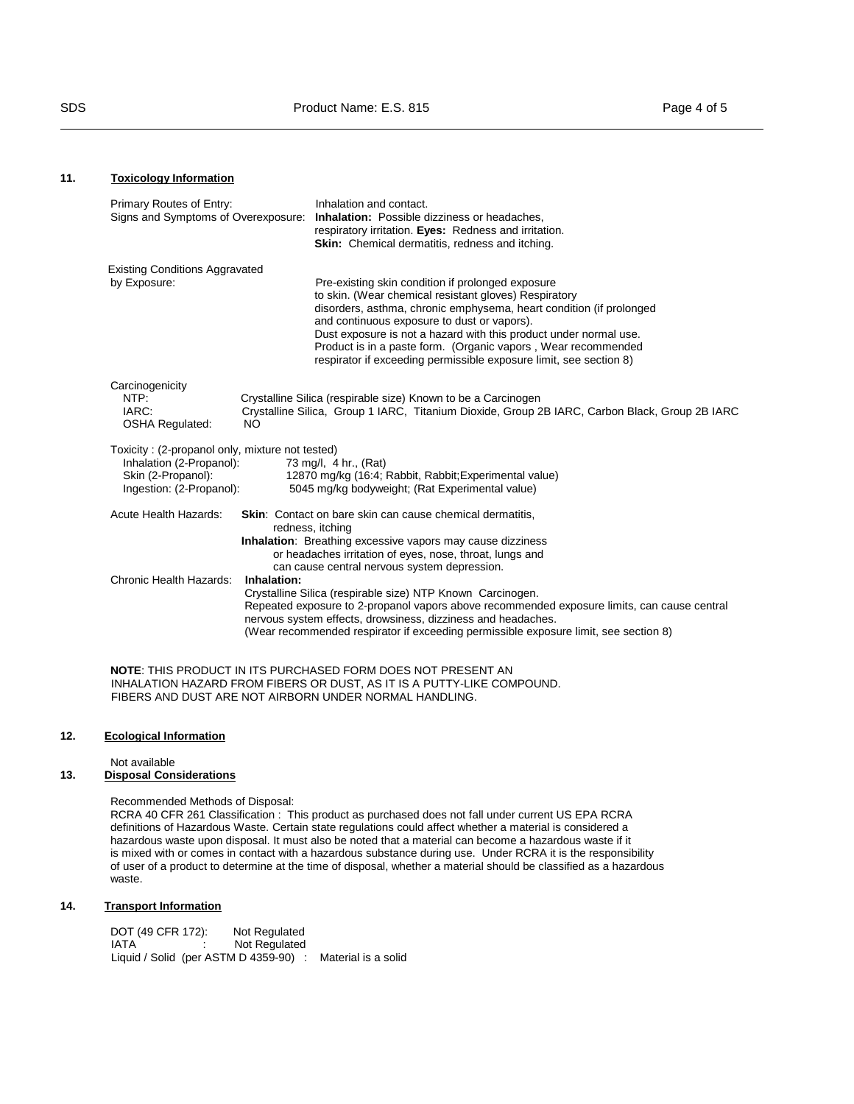# **11. Toxicology Information**

| Primary Routes of Entry:<br>Signs and Symptoms of Overexposure:                                                               | Inhalation and contact.<br>Inhalation: Possible dizziness or headaches,<br>respiratory irritation. Eyes: Redness and irritation.<br><b>Skin:</b> Chemical dermatitis, redness and itching.                                                                                                                                                                                                                                                   |
|-------------------------------------------------------------------------------------------------------------------------------|----------------------------------------------------------------------------------------------------------------------------------------------------------------------------------------------------------------------------------------------------------------------------------------------------------------------------------------------------------------------------------------------------------------------------------------------|
| <b>Existing Conditions Aggravated</b>                                                                                         |                                                                                                                                                                                                                                                                                                                                                                                                                                              |
| by Exposure:                                                                                                                  | Pre-existing skin condition if prolonged exposure<br>to skin. (Wear chemical resistant gloves) Respiratory<br>disorders, asthma, chronic emphysema, heart condition (if prolonged<br>and continuous exposure to dust or vapors).<br>Dust exposure is not a hazard with this product under normal use.<br>Product is in a paste form. (Organic vapors, Wear recommended<br>respirator if exceeding permissible exposure limit, see section 8) |
| Carcinogenicity<br>NTP:<br>IARC:<br><b>OSHA Regulated:</b>                                                                    | Crystalline Silica (respirable size) Known to be a Carcinogen<br>Crystalline Silica, Group 1 IARC, Titanium Dioxide, Group 2B IARC, Carbon Black, Group 2B IARC<br>NO.                                                                                                                                                                                                                                                                       |
| Toxicity: (2-propanol only, mixture not tested)<br>Inhalation (2-Propanol):<br>Skin (2-Propanol):<br>Ingestion: (2-Propanol): | 73 mg/l, 4 hr., (Rat)<br>12870 mg/kg (16:4; Rabbit, Rabbit; Experimental value)<br>5045 mg/kg bodyweight; (Rat Experimental value)                                                                                                                                                                                                                                                                                                           |
| Acute Health Hazards:                                                                                                         | <b>Skin:</b> Contact on bare skin can cause chemical dermatitis,<br>redness, itching<br><b>Inhalation:</b> Breathing excessive vapors may cause dizziness<br>or headaches irritation of eyes, nose, throat, lungs and<br>can cause central nervous system depression.                                                                                                                                                                        |
| Chronic Health Hazards:                                                                                                       | Inhalation:<br>Crystalline Silica (respirable size) NTP Known Carcinogen.<br>Repeated exposure to 2-propanol vapors above recommended exposure limits, can cause central<br>nervous system effects, drowsiness, dizziness and headaches.<br>(Wear recommended respirator if exceeding permissible exposure limit, see section 8)                                                                                                             |

**NOTE**: THIS PRODUCT IN ITS PURCHASED FORM DOES NOT PRESENT AN INHALATION HAZARD FROM FIBERS OR DUST, AS IT IS A PUTTY-LIKE COMPOUND. FIBERS AND DUST ARE NOT AIRBORN UNDER NORMAL HANDLING.

## **12. Ecological Information**

Not available

## **13. Disposal Considerations**

Recommended Methods of Disposal:

RCRA 40 CFR 261 Classification : This product as purchased does not fall under current US EPA RCRA definitions of Hazardous Waste. Certain state regulations could affect whether a material is considered a hazardous waste upon disposal. It must also be noted that a material can become a hazardous waste if it is mixed with or comes in contact with a hazardous substance during use. Under RCRA it is the responsibility of user of a product to determine at the time of disposal, whether a material should be classified as a hazardous waste.

## **14. Transport Information**

DOT (49 CFR 172): Not Regulated<br>IATA : Not Regulated Not Regulated Liquid / Solid (per ASTM D 4359-90) : Material is a solid